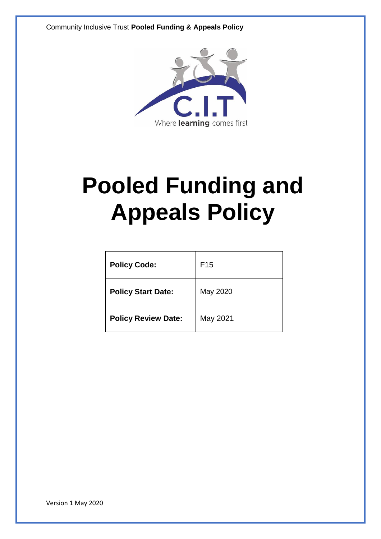Community Inclusive Trust **Pooled Funding & Appeals Policy**



## **Pooled Funding and Appeals Policy**

| <b>Policy Code:</b>        | F <sub>15</sub> |
|----------------------------|-----------------|
| <b>Policy Start Date:</b>  | May 2020        |
| <b>Policy Review Date:</b> | May 2021        |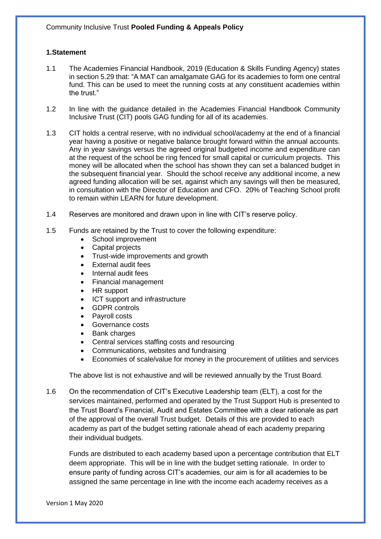## **1.Statement**

- 1.1 The Academies Financial Handbook, 2019 (Education & Skills Funding Agency) states in section 5.29 that: "A MAT can amalgamate GAG for its academies to form one central fund. This can be used to meet the running costs at any constituent academies within the trust."
- 1.2 In line with the guidance detailed in the Academies Financial Handbook Community Inclusive Trust (CIT) pools GAG funding for all of its academies.
- 1.3 CIT holds a central reserve, with no individual school/academy at the end of a financial year having a positive or negative balance brought forward within the annual accounts. Any in year savings versus the agreed original budgeted income and expenditure can at the request of the school be ring fenced for small capital or curriculum projects. This money will be allocated when the school has shown they can set a balanced budget in the subsequent financial year. Should the school receive any additional income, a new agreed funding allocation will be set, against which any savings will then be measured, in consultation with the Director of Education and CFO. 20% of Teaching School profit to remain within LEARN for future development.
- 1.4 Reserves are monitored and drawn upon in line with CIT's reserve policy.
- 1.5 Funds are retained by the Trust to cover the following expenditure:
	- School improvement
	- Capital projects
	- Trust-wide improvements and growth
	- External audit fees
	- Internal audit fees
	- Financial management
	- HR support
	- ICT support and infrastructure
	- GDPR controls
	- Payroll costs
	- Governance costs
	- Bank charges
	- Central services staffing costs and resourcing
	- Communications, websites and fundraising
	- Economies of scale/value for money in the procurement of utilities and services

The above list is not exhaustive and will be reviewed annually by the Trust Board.

1.6 On the recommendation of CIT's Executive Leadership team (ELT), a cost for the services maintained, performed and operated by the Trust Support Hub is presented to the Trust Board's Financial, Audit and Estates Committee with a clear rationale as part of the approval of the overall Trust budget. Details of this are provided to each academy as part of the budget setting rationale ahead of each academy preparing their individual budgets.

Funds are distributed to each academy based upon a percentage contribution that ELT deem appropriate. This will be in line with the budget setting rationale. In order to ensure parity of funding across CIT's academies, our aim is for all academies to be assigned the same percentage in line with the income each academy receives as a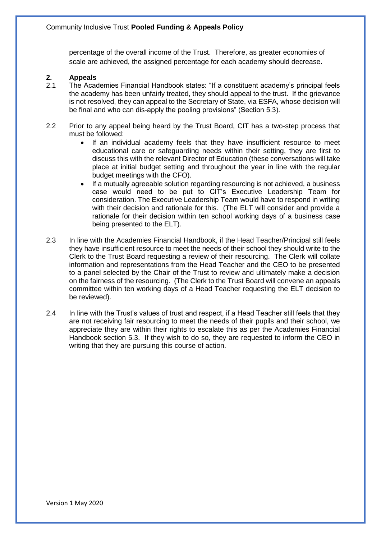percentage of the overall income of the Trust. Therefore, as greater economies of scale are achieved, the assigned percentage for each academy should decrease.

## **2. Appeals**

- 2.1 The Academies Financial Handbook states: "If a constituent academy's principal feels the academy has been unfairly treated, they should appeal to the trust. If the grievance is not resolved, they can appeal to the Secretary of State, via ESFA, whose decision will be final and who can dis-apply the pooling provisions" (Section 5.3).
- 2.2 Prior to any appeal being heard by the Trust Board, CIT has a two-step process that must be followed:
	- If an individual academy feels that they have insufficient resource to meet educational care or safeguarding needs within their setting, they are first to discuss this with the relevant Director of Education (these conversations will take place at initial budget setting and throughout the year in line with the regular budget meetings with the CFO).
	- If a mutually agreeable solution regarding resourcing is not achieved, a business case would need to be put to CIT's Executive Leadership Team for consideration. The Executive Leadership Team would have to respond in writing with their decision and rationale for this. (The ELT will consider and provide a rationale for their decision within ten school working days of a business case being presented to the ELT).
- 2.3 In line with the Academies Financial Handbook, if the Head Teacher/Principal still feels they have insufficient resource to meet the needs of their school they should write to the Clerk to the Trust Board requesting a review of their resourcing. The Clerk will collate information and representations from the Head Teacher and the CEO to be presented to a panel selected by the Chair of the Trust to review and ultimately make a decision on the fairness of the resourcing. (The Clerk to the Trust Board will convene an appeals committee within ten working days of a Head Teacher requesting the ELT decision to be reviewed).
- 2.4 In line with the Trust's values of trust and respect, if a Head Teacher still feels that they are not receiving fair resourcing to meet the needs of their pupils and their school, we appreciate they are within their rights to escalate this as per the Academies Financial Handbook section 5.3. If they wish to do so, they are requested to inform the CEO in writing that they are pursuing this course of action.